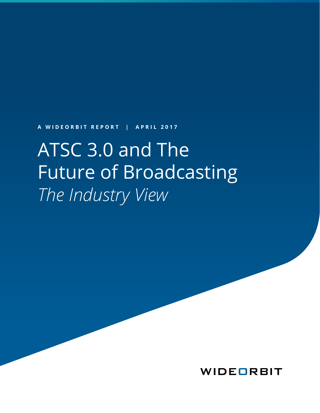**A WIDEORBIT REPORT | APRIL 2017**

# ATSC 3.0 and The Future of Broadcasting *The Industry View*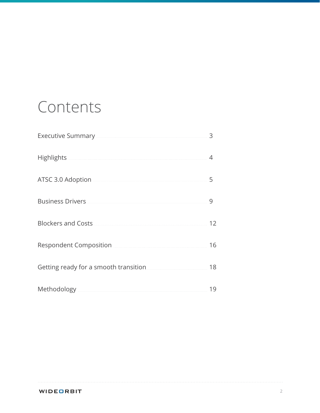## Contents

| Executive Summary <b>Executive Summary</b> | 3  |
|--------------------------------------------|----|
| Highlights                                 | ⊿  |
| ATSC 3.0 Adoption                          | 5  |
| <b>Business Drivers</b>                    | 9  |
| <b>Blockers and Costs</b>                  | 12 |
| Respondent Composition                     | 16 |
| Getting ready for a smooth transition      | 18 |
| Methodology<br>.                           | 19 |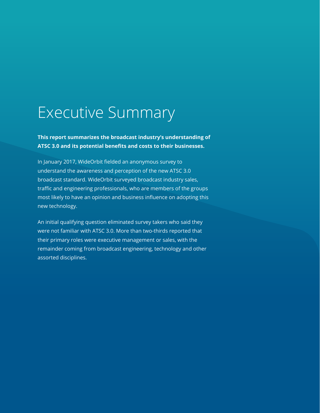## <span id="page-2-0"></span>Executive Summary

**This report summarizes the broadcast industry's understanding of ATSC 3.0 and its potential benefits and costs to their businesses.**

In January 2017, WideOrbit fielded an anonymous survey to understand the awareness and perception of the new ATSC 3.0 broadcast standard. WideOrbit surveyed broadcast industry sales, traffic and engineering professionals, who are members of the groups most likely to have an opinion and business influence on adopting this new technology.

An initial qualifying question eliminated survey takers who said they were not familiar with ATSC 3.0. More than two-thirds reported that their primary roles were executive management or sales, with the remainder coming from broadcast engineering, technology and other assorted disciplines.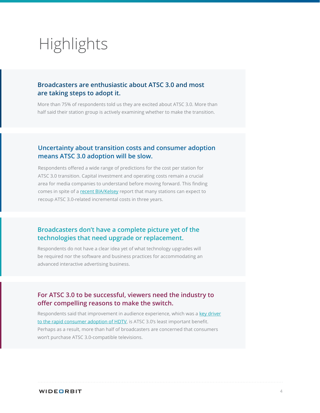## <span id="page-3-0"></span>**Highlights**

### **Broadcasters are enthusiastic about ATSC 3.0 and most are taking steps to adopt it.**

More than 75% of respondents told us they are excited about ATSC 3.0. More than half said their station group is actively examining whether to make the transition.

### **Uncertainty about transition costs and consumer adoption means ATSC 3.0 adoption will be slow.**

Respondents offered a wide range of predictions for the cost per station for ATSC 3.0 transition. Capital investment and operating costs remain a crucial area for media companies to understand before moving forward. This finding comes in spite of a [recent BIA/Kelsey](http://www.biakelsey.com/biakelsey-predicts-transition-atsc-3-0-will-drive-significant-incremental-revenue-large-medium-market-stations-three-years/) report that many stations can expect to recoup ATSC 3.0-related incremental costs in three years.

### **Broadcasters don't have a complete picture yet of the technologies that need upgrade or replacement.**

Respondents do not have a clear idea yet of what technology upgrades will be required nor the software and business practices for accommodating an advanced interactive advertising business.

### **For ATSC 3.0 to be successful, viewers need the industry to offer compelling reasons to make the switch.**

Respondents said that improvement in audience experience, which was a [key driver](http://www.multichannel.com/news/cable-operators/hdtv-penetration-numbers/333395)  [to the rapid consumer adoption of HDTV](http://www.multichannel.com/news/cable-operators/hdtv-penetration-numbers/333395), is ATSC 3.0's least important benefit. Perhaps as a result, more than half of broadcasters are concerned that consumers won't purchase ATSC 3.0-compatible televisions.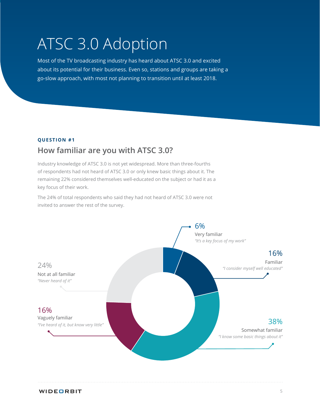## <span id="page-4-0"></span>ATSC 3.0 Adoption

Most of the TV broadcasting industry has heard about ATSC 3.0 and excited about its potential for their business. Even so, stations and groups are taking a go-slow approach, with most not planning to transition until at least 2018.

#### **QUESTION #1**

### **How familiar are you with ATSC 3.0?**

Industry knowledge of ATSC 3.0 is not yet widespread. More than three-fourths of respondents had not heard of ATSC 3.0 or only knew basic things about it. The remaining 22% considered themselves well-educated on the subject or had it as a key focus of their work.

The 24% of total respondents who said they had not heard of ATSC 3.0 were not invited to answer the rest of the survey.

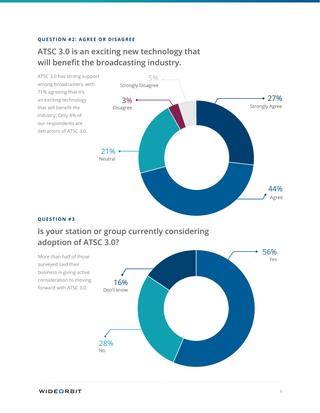#### **QUESTION #2: AGREE OR DISAGREE**

### **ATSC 3.0 is an exciting new technology that will benefit the broadcasting industry.**



#### **QUESTION #3**

## **Is your station or group currently considering adoption of ATSC 3.0?**

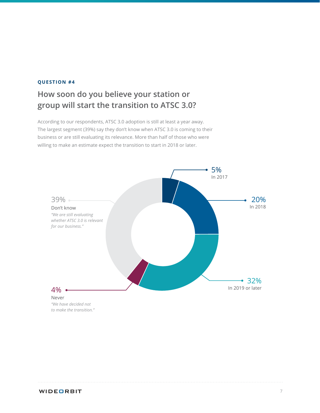## **How soon do you believe your station or group will start the transition to ATSC 3.0?**

According to our respondents, ATSC 3.0 adoption is still at least a year away. The largest segment (39%) say they don't know when ATSC 3.0 is coming to their business or are still evaluating its relevance. More than half of those who were willing to make an estimate expect the transition to start in 2018 or later.



*"We have decided not to make the transition."*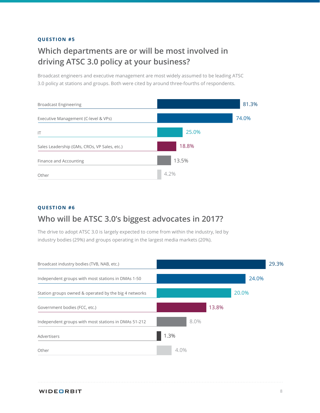## **Which departments are or will be most involved in driving ATSC 3.0 policy at your business?**

Broadcast engineers and executive management are most widely assumed to be leading ATSC 3.0 policy at stations and groups. Both were cited by around three-fourths of respondents.



#### **QUESTION #6**

### **Who will be ATSC 3.0's biggest advocates in 2017?**

The drive to adopt ATSC 3.0 is largely expected to come from within the industry, led by industry bodies (29%) and groups operating in the largest media markets (20%).

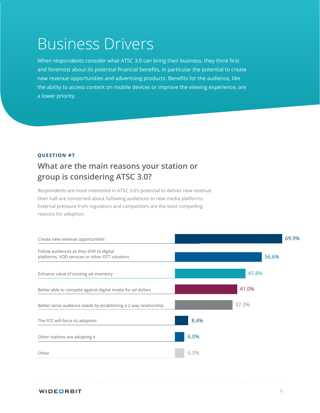## <span id="page-8-0"></span>Business Drivers

When respondents consider what ATSC 3.0 can bring their business, they think first and foremost about its potential financial benefits, in particular the potential to create new revenue opportunities and advertising products. Benefits for the audience, like the ability to access content on mobile devices or improve the viewing experience, are a lower priority.

#### **QUESTION #7**

### **What are the main reasons your station or group is considering ATSC 3.0?**

Respondents are most interested in ATSC 3.0's potential to deliver new revenue. Over half are concerned about following audiences to new media platforms. External pressure from regulators and competitors are the least compelling reasons for adoption.

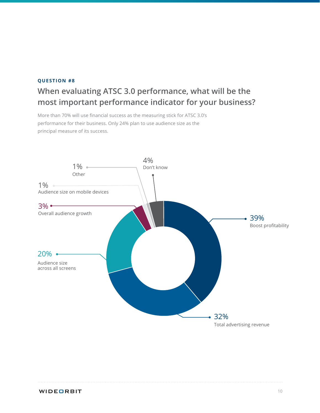## **When evaluating ATSC 3.0 performance, what will be the most important performance indicator for your business?**

More than 70% will use financial success as the measuring stick for ATSC 3.0's performance for their business. Only 24% plan to use audience size as the principal measure of its success.

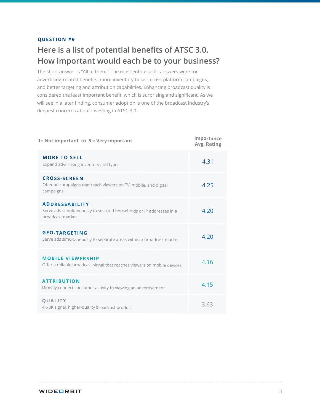## **Here is a list of potential benefits of ATSC 3.0. How important would each be to your business?**

The short answer is "All of them." The most enthusiastic answers were for advertising-related benefits: more inventory to sell, cross-platform campaigns, and better targeting and attribution capabilities. Enhancing broadcast quality is considered the least important benefit, which is surprising and significant. As we will see in a later finding, consumer adoption is one of the broadcast industry's deepest concerns about investing in ATSC 3.0.

| 1= Not important to 5 = Very important                                                                            | Importance<br>Avg. Rating |
|-------------------------------------------------------------------------------------------------------------------|---------------------------|
| <b>MORE TO SELL</b><br>Expand advertising inventory and types                                                     | 4.31                      |
| <b>CROSS-SCREEN</b><br>Offer ad campaigns that reach viewers on TV, mobile, and digital<br>campaigns              | 4.25                      |
| <b>ADDRESSABILITY</b><br>Serve ads simultaneously to selected households or IP addresses in a<br>broadcast market | 4.20                      |
| <b>GEO-TARGETING</b><br>Serve ads simultaneously to separate areas within a broadcast market                      | 4.20                      |
| <b>MOBILE VIEWERSHIP</b><br>Offer a reliable broadcast signal that reaches viewers on mobile devices              | 4.16                      |
| <b>ATTRIBUTION</b><br>Directly connect consumer activity to viewing an advertisement                              | 4.15                      |
| <b>QUALITY</b><br>4K/8K signal, higher-quality broadcast product                                                  | 3.63                      |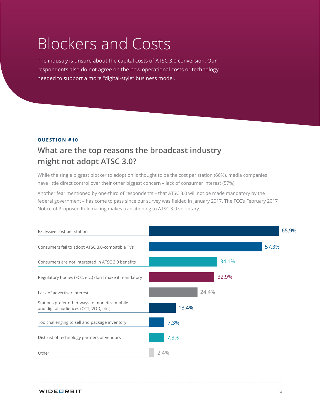## <span id="page-11-0"></span>Blockers and Costs

The industry is unsure about the capital costs of ATSC 3.0 conversion. Our respondents also do not agree on the new operational costs or technology needed to support a more "digital-style" business model.

#### **QUESTION #10**

## **What are the top reasons the broadcast industry might not adopt ATSC 3.0?**

While the single biggest blocker to adoption is thought to be the cost per station (66%), media companies have little direct control over their other biggest concern – lack of consumer interest (57%).

Another fear mentioned by one-third of respondents – that ATSC 3.0 will not be made mandatory by the federal government – has come to pass since our survey was fielded in January 2017. The FCC's February 2017 Notice of Proposed Rulemaking makes transitioning to ATSC 3.0 voluntary.

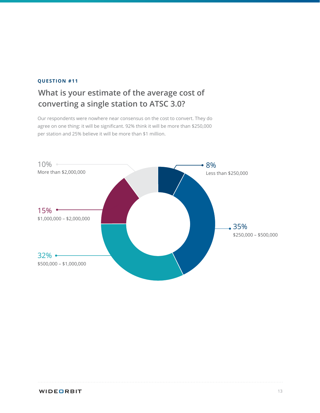## **What is your estimate of the average cost of converting a single station to ATSC 3.0?**

Our respondents were nowhere near consensus on the cost to convert. They do agree on one thing: it will be significant. 92% think it will be more than \$250,000 per station and 25% believe it will be more than \$1 million.

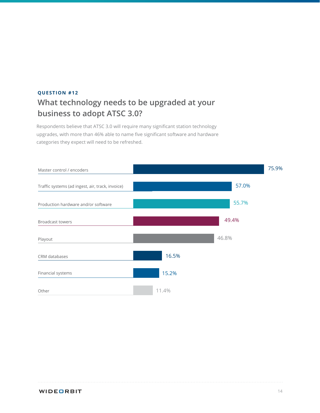### **What technology needs to be upgraded at your business to adopt ATSC 3.0? QUESTION #12**

Respondents believe that ATSC 3.0 will require many significant station technology upgrades, with more than 46% able to name five significant software and hardware categories they expect will need to be refreshed.

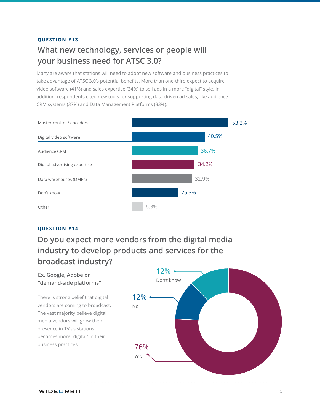## **What new technology, services or people will your business need for ATSC 3.0?**

Many are aware that stations will need to adopt new software and business practices to take advantage of ATSC 3.0's potential benefits. More than one-third expect to acquire video software (41%) and sales expertise (34%) to sell ads in a more "digital" style. In addition, respondents cited new tools for supporting data-driven ad sales, like audience CRM systems (37%) and Data Management Platforms (33%).



#### **QUESTION #14**

**Do you expect more vendors from the digital media industry to develop products and services for the broadcast industry?**

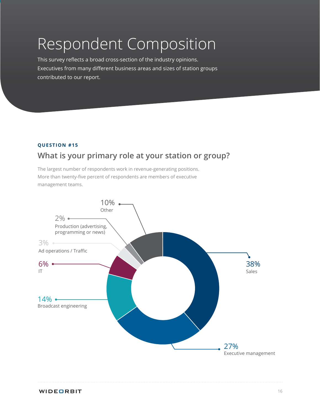## <span id="page-15-0"></span>Respondent Composition

This survey reflects a broad cross-section of the industry opinions. Executives from many different business areas and sizes of station groups contributed to our report.

#### **QUESTION #15**

## **What is your primary role at your station or group?**

The largest number of respondents work in revenue-generating positions. More than twenty-five percent of respondents are members of executive management teams.

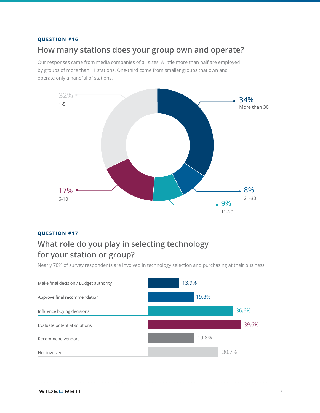### **How many stations does your group own and operate?**

Our responses came from media companies of all sizes. A little more than half are employed by groups of more than 11 stations. One-third come from smaller groups that own and operate only a handful of stations.



#### **QUESTION #17**

## **What role do you play in selecting technology for your station or group?**

Nearly 70% of survey respondents are involved in technology selection and purchasing at their business.

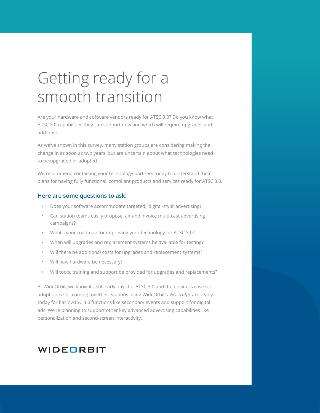## <span id="page-17-0"></span>Getting ready for a smooth transition

Are your hardware and software vendors ready for ATSC 3.0? Do you know what ATSC 3.0 capabilities they can support now and which will require upgrades and add-ons?

As we've shown in this survey, many station groups are considering making the change in as soon as two years, but are uncertain about what technologies need to be upgraded or adopted.

We recommend contacting your technology partners today to understand their plans for having fully functional, compliant products and services ready for ATSC 3.0.

#### **Here are some questions to ask:**

- Does your software accommodate targeted, 'digital-style' advertising?
- Can station teams easily propose, air and invoice multi-cast advertising campaigns?
- What's your roadmap for improving your technology for ATSC 3.0?
- When will upgrades and replacement systems be available for testing?
- Will there be additional costs for upgrades and replacement systems?
- Will new hardware be necessary?
- Will tools, training and support be provided for upgrades and replacements?

At WideOrbit, we know it's still early days for ATSC 3.0 and the business case for adoption is still coming together. Stations using WideOrbit's *WO Traffic* are ready today for basic ATSC 3.0 functions like secondary events and support for digital ads. We're planning to support other key advanced advertising capabilities like personalization and second-screen interactivity.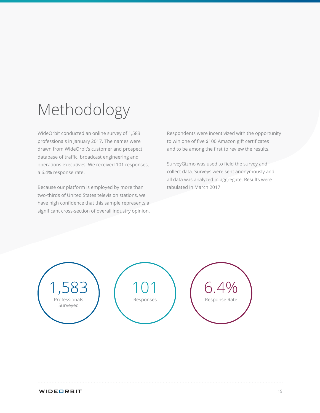## <span id="page-18-0"></span>Methodology

WideOrbit conducted an online survey of 1,583 professionals in January 2017. The names were drawn from WideOrbit's customer and prospect database of traffic, broadcast engineering and operations executives. We received 101 responses, a 6.4% response rate.

Because our platform is employed by more than two-thirds of United States television stations, we have high confidence that this sample represents a significant cross-section of overall industry opinion. Respondents were incentivized with the opportunity to win one of five \$100 Amazon gift certificates and to be among the first to review the results.

SurveyGizmo was used to field the survey and collect data. Surveys were sent anonymously and all data was analyzed in aggregate. Results were tabulated in March 2017.